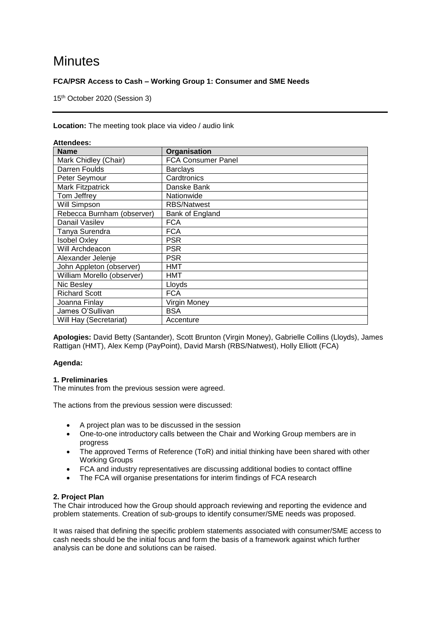# **Minutes**

# **FCA/PSR Access to Cash – Working Group 1: Consumer and SME Needs**

15th October 2020 (Session 3)

### **Location:** The meeting took place via video / audio link

| Attendees:                 |                           |
|----------------------------|---------------------------|
| <b>Name</b>                | Organisation              |
| Mark Chidley (Chair)       | <b>FCA Consumer Panel</b> |
| Darren Foulds              | <b>Barclays</b>           |
| Peter Seymour              | Cardtronics               |
| <b>Mark Fitzpatrick</b>    | Danske Bank               |
| Tom Jeffrey                | Nationwide                |
| Will Simpson               | <b>RBS/Natwest</b>        |
| Rebecca Burnham (observer) | Bank of England           |
| Danail Vasilev             | <b>FCA</b>                |
| Tanya Surendra             | <b>FCA</b>                |
| <b>Isobel Oxley</b>        | <b>PSR</b>                |
| Will Archdeacon            | <b>PSR</b>                |
| Alexander Jelenje          | <b>PSR</b>                |
| John Appleton (observer)   | <b>HMT</b>                |
| William Morello (observer) | HMT                       |
| Nic Besley                 | Lloyds                    |
| <b>Richard Scott</b>       | <b>FCA</b>                |
| Joanna Finlay              | Virgin Money              |
| James O'Sullivan           | <b>BSA</b>                |
| Will Hay (Secretariat)     | Accenture                 |

**Apologies:** David Betty (Santander), Scott Brunton (Virgin Money), Gabrielle Collins (Lloyds), James Rattigan (HMT), Alex Kemp (PayPoint), David Marsh (RBS/Natwest), Holly Elliott (FCA)

# **Agenda:**

# **1. Preliminaries**

The minutes from the previous session were agreed.

The actions from the previous session were discussed:

- A project plan was to be discussed in the session
- One-to-one introductory calls between the Chair and Working Group members are in progress
- The approved Terms of Reference (ToR) and initial thinking have been shared with other Working Groups
- FCA and industry representatives are discussing additional bodies to contact offline
- The FCA will organise presentations for interim findings of FCA research

# **2. Project Plan**

The Chair introduced how the Group should approach reviewing and reporting the evidence and problem statements. Creation of sub-groups to identify consumer/SME needs was proposed.

It was raised that defining the specific problem statements associated with consumer/SME access to cash needs should be the initial focus and form the basis of a framework against which further analysis can be done and solutions can be raised.